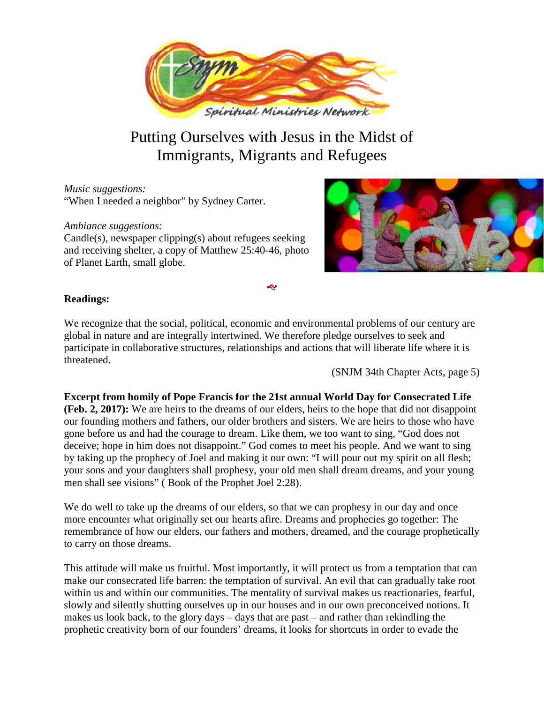

# Putting Ourselves with Jesus in the Midst of Immigrants, Migrants and Refugees

*Music suggestions:* "When I needed a neighbor" by Sydney Carter.

*Ambiance suggestions:* Candle(s), newspaper clipping(s) about refugees seeking and receiving shelter, a copy of Matthew 25:40-46, photo of Planet Earth, small globe.



# **Readings:**

We recognize that the social, political, economic and environmental problems of our century are global in nature and are integrally intertwined. We therefore pledge ourselves to seek and participate in collaborative structures, relationships and actions that will liberate life where it is threatened.

Ŀ

(SNJM 34th Chapter Acts, page 5)

**Excerpt from homily of Pope Francis for the 21st annual World Day for Consecrated Life (Feb. 2, 2017):** We are heirs to the dreams of our elders, heirs to the hope that did not disappoint our founding mothers and fathers, our older brothers and sisters. We are heirs to those who have gone before us and had the courage to dream. Like them, we too want to sing, "God does not deceive; hope in him does not disappoint." God comes to meet his people. And we want to sing by taking up the prophecy of Joel and making it our own: "I will pour out my spirit on all flesh; your sons and your daughters shall prophesy, your old men shall dream dreams, and your young men shall see visions" ( Book of the Prophet Joel 2:28).

We do well to take up the dreams of our elders, so that we can prophesy in our day and once more encounter what originally set our hearts afire. Dreams and prophecies go together: The remembrance of how our elders, our fathers and mothers, dreamed, and the courage prophetically to carry on those dreams.

This attitude will make us fruitful. Most importantly, it will protect us from a temptation that can make our consecrated life barren: the temptation of survival. An evil that can gradually take root within us and within our communities. The mentality of survival makes us reactionaries, fearful, slowly and silently shutting ourselves up in our houses and in our own preconceived notions. It makes us look back, to the glory days – days that are past – and rather than rekindling the prophetic creativity born of our founders' dreams, it looks for shortcuts in order to evade the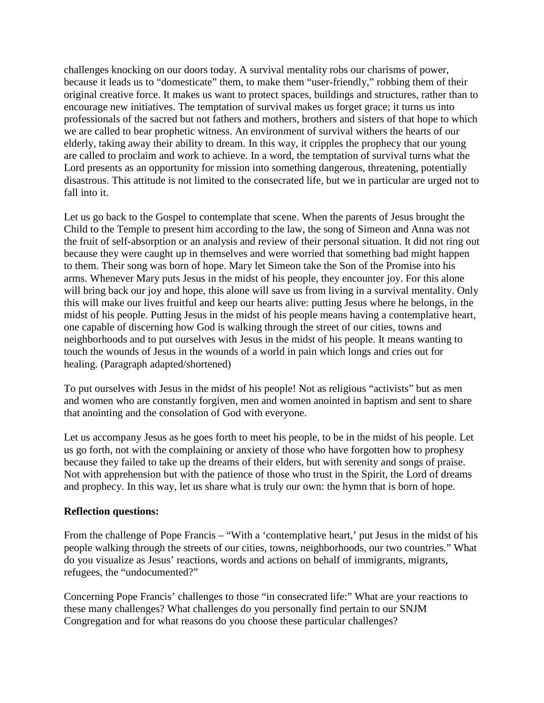challenges knocking on our doors today. A survival mentality robs our charisms of power, because it leads us to "domesticate" them, to make them "user-friendly," robbing them of their original creative force. It makes us want to protect spaces, buildings and structures, rather than to encourage new initiatives. The temptation of survival makes us forget grace; it turns us into professionals of the sacred but not fathers and mothers, brothers and sisters of that hope to which we are called to bear prophetic witness. An environment of survival withers the hearts of our elderly, taking away their ability to dream. In this way, it cripples the prophecy that our young are called to proclaim and work to achieve. In a word, the temptation of survival turns what the Lord presents as an opportunity for mission into something dangerous, threatening, potentially disastrous. This attitude is not limited to the consecrated life, but we in particular are urged not to fall into it.

Let us go back to the Gospel to contemplate that scene. When the parents of Jesus brought the Child to the Temple to present him according to the law, the song of Simeon and Anna was not the fruit of self-absorption or an analysis and review of their personal situation. It did not ring out because they were caught up in themselves and were worried that something bad might happen to them. Their song was born of hope. Mary let Simeon take the Son of the Promise into his arms. Whenever Mary puts Jesus in the midst of his people, they encounter joy. For this alone will bring back our joy and hope, this alone will save us from living in a survival mentality. Only this will make our lives fruitful and keep our hearts alive: putting Jesus where he belongs, in the midst of his people. Putting Jesus in the midst of his people means having a contemplative heart, one capable of discerning how God is walking through the street of our cities, towns and neighborhoods and to put ourselves with Jesus in the midst of his people. It means wanting to touch the wounds of Jesus in the wounds of a world in pain which longs and cries out for healing. (Paragraph adapted/shortened)

To put ourselves with Jesus in the midst of his people! Not as religious "activists" but as men and women who are constantly forgiven, men and women anointed in baptism and sent to share that anointing and the consolation of God with everyone.

Let us accompany Jesus as he goes forth to meet his people, to be in the midst of his people. Let us go forth, not with the complaining or anxiety of those who have forgotten how to prophesy because they failed to take up the dreams of their elders, but with serenity and songs of praise. Not with apprehension but with the patience of those who trust in the Spirit, the Lord of dreams and prophecy. In this way, let us share what is truly our own: the hymn that is born of hope.

### **Reflection questions:**

From the challenge of Pope Francis – "With a 'contemplative heart,' put Jesus in the midst of his people walking through the streets of our cities, towns, neighborhoods, our two countries." What do you visualize as Jesus' reactions, words and actions on behalf of immigrants, migrants, refugees, the "undocumented?"

Concerning Pope Francis' challenges to those "in consecrated life:" What are your reactions to these many challenges? What challenges do you personally find pertain to our SNJM Congregation and for what reasons do you choose these particular challenges?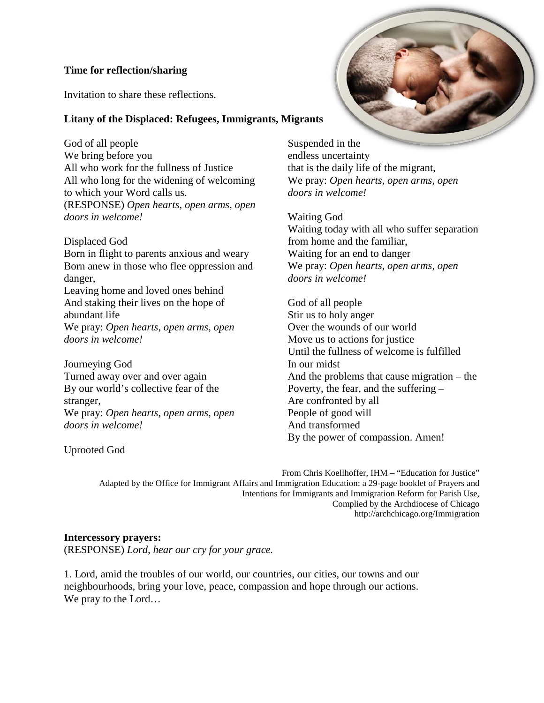# **Time for reflection/sharing**

Invitation to share these reflections.

# **Litany of the Displaced: Refugees, Immigrants, Migrants**

God of all people We bring before you All who work for the fullness of Justice All who long for the widening of welcoming to which your Word calls us. (RESPONSE) *Open hearts, open arms, open doors in welcome!*

Displaced God Born in flight to parents anxious and weary Born anew in those who flee oppression and danger, Leaving home and loved ones behind And staking their lives on the hope of

abundant life We pray: *Open hearts, open arms, open doors in welcome!*

Journeying God Turned away over and over again By our world's collective fear of the stranger, We pray: *Open hearts, open arms, open doors in welcome!*

Uprooted God

Suspended in the endless uncertainty that is the daily life of the migrant, We pray: *Open hearts, open arms, open doors in welcome!*

Waiting God Waiting today with all who suffer separation from home and the familiar, Waiting for an end to danger We pray: *Open hearts, open arms, open doors in welcome!*

God of all people Stir us to holy anger Over the wounds of our world Move us to actions for justice Until the fullness of welcome is fulfilled In our midst And the problems that cause migration – the Poverty, the fear, and the suffering – Are confronted by all People of good will And transformed By the power of compassion. Amen!

From Chris Koellhoffer, IHM – "Education for Justice" Adapted by the Office for Immigrant Affairs and Immigration Education: a 29-page booklet of Prayers and Intentions for Immigrants and Immigration Reform for Parish Use, Complied by the Archdiocese of Chicago http://archchicago.org/Immigration

### **Intercessory prayers:**

(RESPONSE) *Lord, hear our cry for your grace.*

1. Lord, amid the troubles of our world, our countries, our cities, our towns and our neighbourhoods, bring your love, peace, compassion and hope through our actions. We pray to the Lord…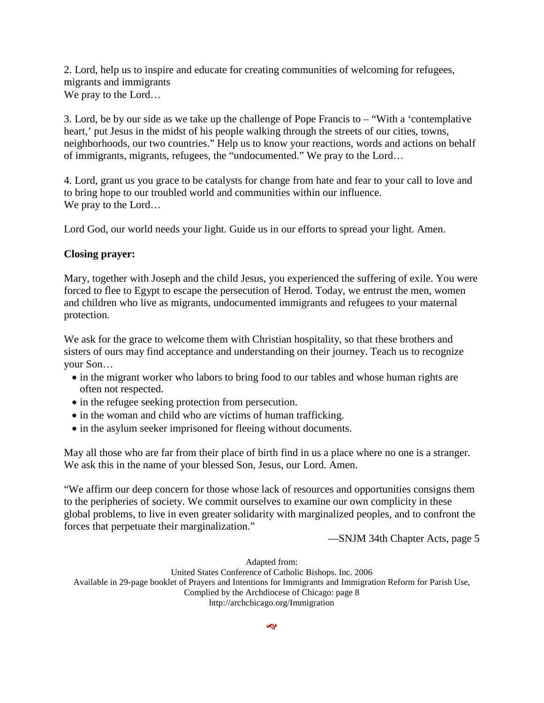2. Lord, help us to inspire and educate for creating communities of welcoming for refugees, migrants and immigrants We pray to the Lord…

3. Lord, be by our side as we take up the challenge of Pope Francis to – "With a 'contemplative heart,' put Jesus in the midst of his people walking through the streets of our cities, towns, neighborhoods, our two countries." Help us to know your reactions, words and actions on behalf of immigrants, migrants, refugees, the "undocumented." We pray to the Lord…

4. Lord, grant us you grace to be catalysts for change from hate and fear to your call to love and to bring hope to our troubled world and communities within our influence. We pray to the Lord…

Lord God, our world needs your light. Guide us in our efforts to spread your light. Amen.

### **Closing prayer:**

Mary, together with Joseph and the child Jesus, you experienced the suffering of exile. You were forced to flee to Egypt to escape the persecution of Herod. Today, we entrust the men, women and children who live as migrants, undocumented immigrants and refugees to your maternal protection.

We ask for the grace to welcome them with Christian hospitality, so that these brothers and sisters of ours may find acceptance and understanding on their journey. Teach us to recognize your Son…

- in the migrant worker who labors to bring food to our tables and whose human rights are often not respected.
- in the refugee seeking protection from persecution.
- in the woman and child who are victims of human trafficking.
- in the asylum seeker imprisoned for fleeing without documents.

May all those who are far from their place of birth find in us a place where no one is a stranger. We ask this in the name of your blessed Son, Jesus, our Lord. Amen.

"We affirm our deep concern for those whose lack of resources and opportunities consigns them to the peripheries of society. We commit ourselves to examine our own complicity in these global problems, to live in even greater solidarity with marginalized peoples, and to confront the forces that perpetuate their marginalization."

—SNJM 34th Chapter Acts, page 5

Adapted from:

United States Conference of Catholic Bishops. Inc. 2006 Available in 29-page booklet of Prayers and Intentions for Immigrants and Immigration Reform for Parish Use, Complied by the Archdiocese of Chicago: page 8 http://archchicago.org/Immigration